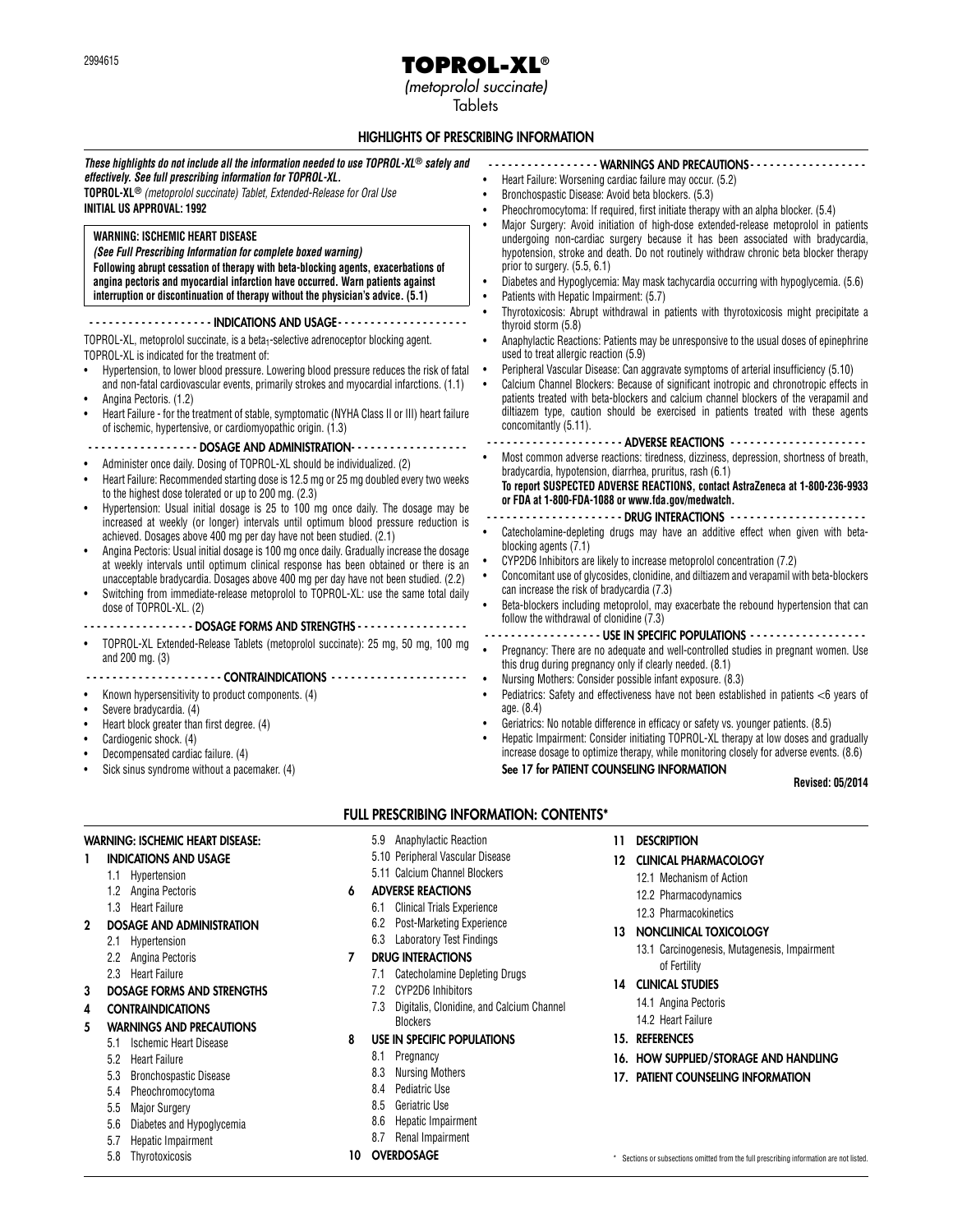# **TOPROL-XL®**

*(metoprolol succinate)*

**Tablets** 

# **HIGHLIGHTS OF PRESCRIBING INFORMATION**

| These highlights do not include all the information needed to use TOPROL-XL® safely and<br>effectively. See full prescribing information for TOPROL-XL.<br>TOPROL-XL <sup>®</sup> (metoprolol succinate) Tablet, Extended-Release for Oral Use<br><b>INITIAL US APPROVAL: 1992</b>                                                                                                                                                                                                                                                                                                                                                                                                                                                                                                                                                                                                                                                                                                                                                                                                                                                                                                                                                                                                                                                                                                                                                                                                                                                                                                                                                                                                                                                                                                                                                                                                                                                                                                                                                                                                                                                                                                                                                                                                                                                                           |                                                                                                                                                                                                                                                                                                                                                                                                                                                           |        | Heart Failure: Worsening cardiac failure may occur. (5.2)<br>Bronchospastic Disease: Avoid beta blockers. (5.3)<br>Pheochromocytoma: If required, first initiate therapy with an alpha blocker. (5.4)<br>Major Surgery: Avoid initiation of high-dose extended-release metoprolol in patients<br>undergoing non-cardiac surgery because it has been associated with bradycardia,<br>hypotension, stroke and death. Do not routinely withdraw chronic beta blocker therapy<br>prior to surgery. $(5.5, 6.1)$<br>Diabetes and Hypoglycemia: May mask tachycardia occurring with hypoglycemia. (5.6)<br>Patients with Hepatic Impairment: (5.7)<br>Thyrotoxicosis: Abrupt withdrawal in patients with thyrotoxicosis might precipitate a<br>thyroid storm (5.8)<br>Anaphylactic Reactions: Patients may be unresponsive to the usual doses of epinephrine<br>used to treat allergic reaction (5.9)<br>Peripheral Vascular Disease: Can aggravate symptoms of arterial insufficiency (5.10)<br>Calcium Channel Blockers: Because of significant inotropic and chronotropic effects in<br>patients treated with beta-blockers and calcium channel blockers of the verapamil and<br>diltiazem type, caution should be exercised in patients treated with these agents<br>concomitantly (5.11).<br>ADVERSE REACTIONS<br>Most common adverse reactions: tiredness, dizziness, depression, shortness of breath,<br>bradycardia, hypotension, diarrhea, pruritus, rash (6.1)<br>To report SUSPECTED ADVERSE REACTIONS, contact AstraZeneca at 1-800-236-9933<br>or FDA at 1-800-FDA-1088 or www.fda.gov/medwatch.<br>DRUG INTERACTIONS<br>Catecholamine-depleting drugs may have an additive effect when given with beta-<br>blocking agents (7.1)<br>CYP2D6 Inhibitors are likely to increase metoprolol concentration (7.2)<br>Concomitant use of glycosides, clonidine, and diltiazem and verapamil with beta-blockers<br>can increase the risk of bradycardia (7.3)<br>Beta-blockers including metoprolol, may exacerbate the rebound hypertension that can<br>follow the withdrawal of clonidine (7.3)<br>----------------- USE IN SPECIFIC POPULATIONS ------------<br>Pregnancy: There are no adequate and well-controlled studies in pregnant women. Use<br>this drug during pregnancy only if clearly needed. (8.1)<br>Nursing Mothers: Consider possible infant exposure. (8.3)<br>Pediatrics: Safety and effectiveness have not been established in patients <6 years of<br>age. (8.4)<br>Geriatrics: No notable difference in efficacy or safety vs. younger patients. (8.5)<br>Hepatic Impairment: Consider initiating TOPROL-XL therapy at low doses and gradually<br>increase dosage to optimize therapy, while monitoring closely for adverse events. (8.6)<br>See 17 for PATIENT COUNSELING INFORMATION<br><b>Revised: 05/2014</b> |  |                                                |                                                                                                                                                                                                                    |  |
|--------------------------------------------------------------------------------------------------------------------------------------------------------------------------------------------------------------------------------------------------------------------------------------------------------------------------------------------------------------------------------------------------------------------------------------------------------------------------------------------------------------------------------------------------------------------------------------------------------------------------------------------------------------------------------------------------------------------------------------------------------------------------------------------------------------------------------------------------------------------------------------------------------------------------------------------------------------------------------------------------------------------------------------------------------------------------------------------------------------------------------------------------------------------------------------------------------------------------------------------------------------------------------------------------------------------------------------------------------------------------------------------------------------------------------------------------------------------------------------------------------------------------------------------------------------------------------------------------------------------------------------------------------------------------------------------------------------------------------------------------------------------------------------------------------------------------------------------------------------------------------------------------------------------------------------------------------------------------------------------------------------------------------------------------------------------------------------------------------------------------------------------------------------------------------------------------------------------------------------------------------------------------------------------------------------------------------------------------------------|-----------------------------------------------------------------------------------------------------------------------------------------------------------------------------------------------------------------------------------------------------------------------------------------------------------------------------------------------------------------------------------------------------------------------------------------------------------|--------|-------------------------------------------------------------------------------------------------------------------------------------------------------------------------------------------------------------------------------------------------------------------------------------------------------------------------------------------------------------------------------------------------------------------------------------------------------------------------------------------------------------------------------------------------------------------------------------------------------------------------------------------------------------------------------------------------------------------------------------------------------------------------------------------------------------------------------------------------------------------------------------------------------------------------------------------------------------------------------------------------------------------------------------------------------------------------------------------------------------------------------------------------------------------------------------------------------------------------------------------------------------------------------------------------------------------------------------------------------------------------------------------------------------------------------------------------------------------------------------------------------------------------------------------------------------------------------------------------------------------------------------------------------------------------------------------------------------------------------------------------------------------------------------------------------------------------------------------------------------------------------------------------------------------------------------------------------------------------------------------------------------------------------------------------------------------------------------------------------------------------------------------------------------------------------------------------------------------------------------------------------------------------------------------------------------------------------------------------------------------------------------------------------------------------------------------------------------------------------------------------------------------------------------------------------------------------------------------------------------------------------------------------------------------------------------------------------------------------------------------------------------------------------------------------------------------------------------------|--|------------------------------------------------|--------------------------------------------------------------------------------------------------------------------------------------------------------------------------------------------------------------------|--|
| <b>WARNING: ISCHEMIC HEART DISEASE</b><br>(See Full Prescribing Information for complete boxed warning)<br>Following abrupt cessation of therapy with beta-blocking agents, exacerbations of<br>angina pectoris and myocardial infarction have occurred. Warn patients against<br>interruption or discontinuation of therapy without the physician's advice. (5.1)<br>TOPROL-XL, metoprolol succinate, is a beta <sub>1</sub> -selective adrenoceptor blocking agent.<br>TOPROL-XL is indicated for the treatment of:<br>Hypertension, to lower blood pressure. Lowering blood pressure reduces the risk of fatal<br>and non-fatal cardiovascular events, primarily strokes and myocardial infarctions. (1.1)<br>Angina Pectoris. (1.2)<br>Heart Failure - for the treatment of stable, symptomatic (NYHA Class II or III) heart failure<br>$\bullet$<br>of ischemic, hypertensive, or cardiomyopathic origin. (1.3)<br>------------ DOSAGE AND ADMINISTRATION------------------<br>Administer once daily. Dosing of TOPROL-XL should be individualized. (2)<br>Heart Failure: Recommended starting dose is 12.5 mg or 25 mg doubled every two weeks<br>$\bullet$<br>to the highest dose tolerated or up to 200 mg. (2.3)<br>Hypertension: Usual initial dosage is 25 to 100 mg once daily. The dosage may be<br>increased at weekly (or longer) intervals until optimum blood pressure reduction is<br>achieved. Dosages above 400 mg per day have not been studied. (2.1)<br>Angina Pectoris: Usual initial dosage is 100 mg once daily. Gradually increase the dosage<br>at weekly intervals until optimum clinical response has been obtained or there is an<br>unacceptable bradycardia. Dosages above 400 mg per day have not been studied. (2.2)<br>Switching from immediate-release metoprolol to TOPROL-XL: use the same total daily<br>dose of TOPROL-XL. (2)<br>------------- DOSAGE FORMS AND STRENGTHS --------------<br>TOPROL-XL Extended-Release Tablets (metoprolol succinate): 25 mg, 50 mg, 100 mg<br>and $200$ mg. $(3)$<br>--------- CONTRAINDICATIONS ---------------------<br>Known hypersensitivity to product components. (4)<br>Severe bradycardia. (4)<br>Heart block greater than first degree. (4)<br>$\bullet$<br>Cardiogenic shock. (4)<br>Decompensated cardiac failure. (4)<br>Sick sinus syndrome without a pacemaker. (4) |                                                                                                                                                                                                                                                                                                                                                                                                                                                           |        |                                                                                                                                                                                                                                                                                                                                                                                                                                                                                                                                                                                                                                                                                                                                                                                                                                                                                                                                                                                                                                                                                                                                                                                                                                                                                                                                                                                                                                                                                                                                                                                                                                                                                                                                                                                                                                                                                                                                                                                                                                                                                                                                                                                                                                                                                                                                                                                                                                                                                                                                                                                                                                                                                                                                                                                                                                           |  |                                                |                                                                                                                                                                                                                    |  |
|                                                                                                                                                                                                                                                                                                                                                                                                                                                                                                                                                                                                                                                                                                                                                                                                                                                                                                                                                                                                                                                                                                                                                                                                                                                                                                                                                                                                                                                                                                                                                                                                                                                                                                                                                                                                                                                                                                                                                                                                                                                                                                                                                                                                                                                                                                                                                              |                                                                                                                                                                                                                                                                                                                                                                                                                                                           |        |                                                                                                                                                                                                                                                                                                                                                                                                                                                                                                                                                                                                                                                                                                                                                                                                                                                                                                                                                                                                                                                                                                                                                                                                                                                                                                                                                                                                                                                                                                                                                                                                                                                                                                                                                                                                                                                                                                                                                                                                                                                                                                                                                                                                                                                                                                                                                                                                                                                                                                                                                                                                                                                                                                                                                                                                                                           |  | <b>FULL PRESCRIBING INFORMATION: CONTENTS*</b> |                                                                                                                                                                                                                    |  |
| 1<br>$\boldsymbol{2}$                                                                                                                                                                                                                                                                                                                                                                                                                                                                                                                                                                                                                                                                                                                                                                                                                                                                                                                                                                                                                                                                                                                                                                                                                                                                                                                                                                                                                                                                                                                                                                                                                                                                                                                                                                                                                                                                                                                                                                                                                                                                                                                                                                                                                                                                                                                                        | <b>WARNING: ISCHEMIC HEART DISEASE:</b><br><b>INDICATIONS AND USAGE</b><br>Hypertension<br>1.1<br>1.2 Angina Pectoris<br><b>Heart Failure</b><br>1.3<br><b>DOSAGE AND ADMINISTRATION</b><br>Hypertension<br>2.1<br>2.2 Angina Pectoris                                                                                                                                                                                                                    | 6<br>7 | 5.9 Anaphylactic Reaction<br>5.10 Peripheral Vascular Disease<br>5.11 Calcium Channel Blockers<br><b>ADVERSE REACTIONS</b><br>6.1 Clinical Trials Experience<br>6.2 Post-Marketing Experience<br>6.3 Laboratory Test Findings<br><b>DRUG INTERACTIONS</b>                                                                                                                                                                                                                                                                                                                                                                                                                                                                                                                                                                                                                                                                                                                                                                                                                                                                                                                                                                                                                                                                                                                                                                                                                                                                                                                                                                                                                                                                                                                                                                                                                                                                                                                                                                                                                                                                                                                                                                                                                                                                                                                                                                                                                                                                                                                                                                                                                                                                                                                                                                                 |  | 13                                             | 11 DESCRIPTION<br>12 CLINICAL PHARMACOLOGY<br>12.1 Mechanism of Action<br>12.2 Pharmacodynamics<br>12.3 Pharmacokinetics<br>NONCLINICAL TOXICOLOGY<br>13.1 Carcinogenesis, Mutagenesis, Impairment<br>of Fertility |  |
| 3<br>4<br>5                                                                                                                                                                                                                                                                                                                                                                                                                                                                                                                                                                                                                                                                                                                                                                                                                                                                                                                                                                                                                                                                                                                                                                                                                                                                                                                                                                                                                                                                                                                                                                                                                                                                                                                                                                                                                                                                                                                                                                                                                                                                                                                                                                                                                                                                                                                                                  | 2.3 Heart Failure<br>7.1 Catecholamine Depleting Drugs<br>7.2 CYP2D6 Inhibitors<br><b>DOSAGE FORMS AND STRENGTHS</b><br>7.3 Digitalis, Clonidine, and Calcium Channel<br><b>CONTRAINDICATIONS</b><br><b>Blockers</b><br><b>WARNINGS AND PRECAUTIONS</b><br><b>USE IN SPECIFIC POPULATIONS</b><br>8<br><b>Ischemic Heart Disease</b><br>5.1<br>8.1 Pregnancy<br><b>Heart Failure</b><br>5.2<br>8.3 Nursing Mothers<br><b>Bronchospastic Disease</b><br>5.3 |        |                                                                                                                                                                                                                                                                                                                                                                                                                                                                                                                                                                                                                                                                                                                                                                                                                                                                                                                                                                                                                                                                                                                                                                                                                                                                                                                                                                                                                                                                                                                                                                                                                                                                                                                                                                                                                                                                                                                                                                                                                                                                                                                                                                                                                                                                                                                                                                                                                                                                                                                                                                                                                                                                                                                                                                                                                                           |  |                                                | 14 CLINICAL STUDIES<br>14.1 Angina Pectoris<br>14.2 Heart Failure<br>15. REFERENCES<br>16. HOW SUPPLIED/STORAGE AND HANDLING<br>17. PATIENT COUNSELING INFORMATION                                                 |  |
|                                                                                                                                                                                                                                                                                                                                                                                                                                                                                                                                                                                                                                                                                                                                                                                                                                                                                                                                                                                                                                                                                                                                                                                                                                                                                                                                                                                                                                                                                                                                                                                                                                                                                                                                                                                                                                                                                                                                                                                                                                                                                                                                                                                                                                                                                                                                                              | Pheochromocytoma<br>5.4                                                                                                                                                                                                                                                                                                                                                                                                                                   |        | <b>Pediatric Use</b><br>8.4<br>85 Geriatric Ilse                                                                                                                                                                                                                                                                                                                                                                                                                                                                                                                                                                                                                                                                                                                                                                                                                                                                                                                                                                                                                                                                                                                                                                                                                                                                                                                                                                                                                                                                                                                                                                                                                                                                                                                                                                                                                                                                                                                                                                                                                                                                                                                                                                                                                                                                                                                                                                                                                                                                                                                                                                                                                                                                                                                                                                                          |  |                                                |                                                                                                                                                                                                                    |  |

- 5.5 Major Surgery 5.6 Diabetes and Hypoglycemia
- 5.7 Hepatic Impairment
- 5.8 Thyrotoxicosis
- 8.5 Geriatric Use
- 8.6 Hepatic Impairment
- 8.7 Renal Impairment

# **10 OVERDOSAGE**

# \* Sections or subsections omitted from the full prescribing information are not listed.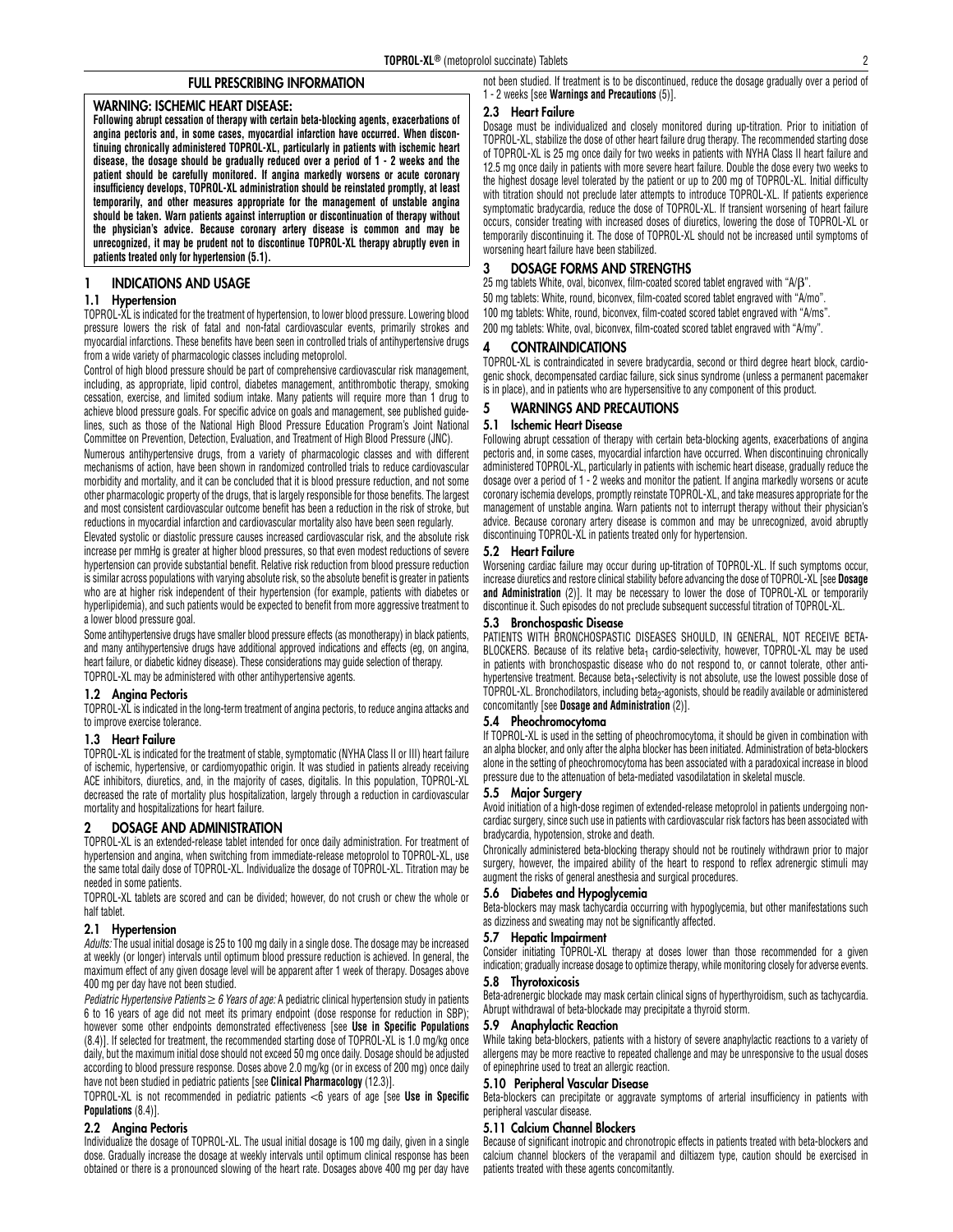# **FULL PRESCRIBING INFORMATION**

# **WARNING: ISCHEMIC HEART DISEASE:**

**Following abrupt cessation of therapy with certain beta-blocking agents, exacerbations of angina pectoris and, in some cases, myocardial infarction have occurred. When discontinuing chronically administered TOPROL-XL, particularly in patients with ischemic heart disease, the dosage should be gradually reduced over a period of 1 - 2 weeks and the patient should be carefully monitored. If angina markedly worsens or acute coronary insufficiency develops, TOPROL-XL administration should be reinstated promptly, at least temporarily, and other measures appropriate for the management of unstable angina should be taken. Warn patients against interruption or discontinuation of therapy without the physician's advice. Because coronary artery disease is common and may be unrecognized, it may be prudent not to discontinue TOPROL-XL therapy abruptly even in patients treated only for hypertension (5.1).**

# **1 INDICATIONS AND USAGE**

#### **1.1 Hypertension**

TOPROL-XL is indicated for the treatment of hypertension, to lower blood pressure. Lowering blood pressure lowers the risk of fatal and non-fatal cardiovascular events, primarily strokes and myocardial infarctions. These benefits have been seen in controlled trials of antihypertensive drugs from a wide variety of pharmacologic classes including metoprolol.

Control of high blood pressure should be part of comprehensive cardiovascular risk management, including, as appropriate, lipid control, diabetes management, antithrombotic therapy, smoking cessation, exercise, and limited sodium intake. Many patients will require more than 1 drug to achieve blood pressure goals. For specific advice on goals and management, see published guidelines, such as those of the National High Blood Pressure Education Program's Joint National Committee on Prevention, Detection, Evaluation, and Treatment of High Blood Pressure (JNC).

Numerous antihypertensive drugs, from a variety of pharmacologic classes and with different mechanisms of action, have been shown in randomized controlled trials to reduce cardiovascular morbidity and mortality, and it can be concluded that it is blood pressure reduction, and not some other pharmacologic property of the drugs, that is largely responsible for those benefits. The largest and most consistent cardiovascular outcome benefit has been a reduction in the risk of stroke, but reductions in myocardial infarction and cardiovascular mortality also have been seen regularly.

Elevated systolic or diastolic pressure causes increased cardiovascular risk, and the absolute risk increase per mmHg is greater at higher blood pressures, so that even modest reductions of severe hypertension can provide substantial benefit. Relative risk reduction from blood pressure reduction is similar across populations with varying absolute risk, so the absolute benefit is greater in patients who are at higher risk independent of their hypertension (for example, patients with diabetes or hyperlipidemia), and such patients would be expected to benefit from more aggressive treatment to a lower blood pressure goal.

Some antihypertensive drugs have smaller blood pressure effects (as monotherapy) in black patients, and many antihypertensive drugs have additional approved indications and effects (eg, on angina, heart failure, or diabetic kidney disease). These considerations may guide selection of therapy. TOPROL-XL may be administered with other antihypertensive agents.

## **1.2 Angina Pectoris**

TOPROL-XL is indicated in the long-term treatment of angina pectoris, to reduce angina attacks and to improve exercise tolerance.

#### **1.3 Heart Failure**

TOPROL-XL is indicated for the treatment of stable, symptomatic (NYHA Class II or III) heart failure of ischemic, hypertensive, or cardiomyopathic origin. It was studied in patients already receiving ACE inhibitors, diuretics, and, in the majority of cases, digitalis. In this population, TOPROL-XL decreased the rate of mortality plus hospitalization, largely through a reduction in cardiovascular mortality and hospitalizations for heart failure.

# **2 DOSAGE AND ADMINISTRATION**

TOPROL-XL is an extended-release tablet intended for once daily administration. For treatment of hypertension and angina, when switching from immediate-release metoprolol to TOPROL-XL, use the same total daily dose of TOPROL-XL. Individualize the dosage of TOPROL-XL. Titration may be needed in some patients.

TOPROL-XL tablets are scored and can be divided; however, do not crush or chew the whole or half tablet.

# **2.1 Hypertension**

*Adults:* The usual initial dosage is 25 to 100 mg daily in a single dose. The dosage may be increased at weekly (or longer) intervals until optimum blood pressure reduction is achieved. In general, the maximum effect of any given dosage level will be apparent after 1 week of therapy. Dosages above 400 mg per day have not been studied.

*Pediatric Hypertensive Patients* ≥ *6 Years of age:* A pediatric clinical hypertension study in patients 6 to 16 years of age did not meet its primary endpoint (dose response for reduction in SBP); however some other endpoints demonstrated effectiveness [see **Use in Specific Populations** (8.4)]. If selected for treatment, the recommended starting dose of TOPROL-XL is 1.0 mg/kg once daily, but the maximum initial dose should not exceed 50 mg once daily. Dosage should be adjusted according to blood pressure response. Doses above 2.0 mg/kg (or in excess of 200 mg) once daily have not been studied in pediatric patients [see **Clinical Pharmacology** (12.3)].

TOPROL-XL is not recommended in pediatric patients <6 years of age [see **Use in Specific Populations** (8.4)].

#### **2.2 Angina Pectoris**

Individualize the dosage of TOPROL-XL. The usual initial dosage is 100 mg daily, given in a single dose. Gradually increase the dosage at weekly intervals until optimum clinical response has been obtained or there is a pronounced slowing of the heart rate. Dosages above 400 mg per day have not been studied. If treatment is to be discontinued, reduce the dosage gradually over a period of 1 - 2 weeks [see **Warnings and Precautions** (5)].

#### **2.3 Heart Failure**

Dosage must be individualized and closely monitored during up-titration. Prior to initiation of TOPROL-XL, stabilize the dose of other heart failure drug therapy. The recommended starting dose of TOPROL-XL is 25 mg once daily for two weeks in patients with NYHA Class II heart failure and 12.5 mg once daily in patients with more severe heart failure. Double the dose every two weeks to the highest dosage level tolerated by the patient or up to 200 mg of TOPROL-XL. Initial difficulty with titration should not preclude later attempts to introduce TOPROL-XL. If patients experience symptomatic bradycardia, reduce the dose of TOPROL-XL. If transient worsening of heart failure occurs, consider treating with increased doses of diuretics, lowering the dose of TOPROL-XL or temporarily discontinuing it. The dose of TOPROL-XL should not be increased until symptoms of worsening heart failure have been stabilized.

# **3 DOSAGE FORMS AND STRENGTHS**

 mg tablets White, oval, biconvex, film-coated scored tablet engraved with "A/β". mg tablets: White, round, biconvex, film-coated scored tablet engraved with "A/mo". mg tablets: White, round, biconvex, film-coated scored tablet engraved with "A/ms". mg tablets: White, oval, biconvex, film-coated scored tablet engraved with "A/my".

#### **4 CONTRAINDICATIONS**

TOPROL-XL is contraindicated in severe bradycardia, second or third degree heart block, cardiogenic shock, decompensated cardiac failure, sick sinus syndrome (unless a permanent pacemaker is in place), and in patients who are hypersensitive to any component of this product.

# **5 WARNINGS AND PRECAUTIONS**

#### **5.1 Ischemic Heart Disease**

Following abrupt cessation of therapy with certain beta-blocking agents, exacerbations of angina pectoris and, in some cases, myocardial infarction have occurred. When discontinuing chronically administered TOPROL-XL, particularly in patients with ischemic heart disease, gradually reduce the dosage over a period of 1 - 2 weeks and monitor the patient. If angina markedly worsens or acute coronary ischemia develops, promptly reinstate TOPROL-XL, and take measures appropriate for the management of unstable angina. Warn patients not to interrupt therapy without their physician's advice. Because coronary artery disease is common and may be unrecognized, avoid abruptly discontinuing TOPROL-XL in patients treated only for hypertension.

#### **5.2 Heart Failure**

Worsening cardiac failure may occur during up-titration of TOPROL-XL. If such symptoms occur, increase diuretics and restore clinical stability before advancing the dose of TOPROL-XL [see **Dosage and Administration** (2)]. It may be necessary to lower the dose of TOPROL-XL or temporarily discontinue it. Such episodes do not preclude subsequent successful titration of TOPROL-XL.

# **5.3 Bronchospastic Disease**

PATIENTS WITH BRONCHOSPASTIC DISEASES SHOULD, IN GENERAL, NOT RECEIVE BETA-BLOCKERS. Because of its relative beta<sub>1</sub> cardio-selectivity, however, TOPROL-XL may be used in patients with bronchospastic disease who do not respond to, or cannot tolerate, other antihypertensive treatment. Because beta<sub>1</sub>-selectivity is not absolute, use the lowest possible dose of TOPROL-XL. Bronchodilators, including beta<sub>2</sub>-agonists, should be readily available or administered concomitantly [see **Dosage and Administration** (2)].

# **5.4 Pheochromocytoma**

If TOPROL-XL is used in the setting of pheochromocytoma, it should be given in combination with an alpha blocker, and only after the alpha blocker has been initiated. Administration of beta-blockers alone in the setting of pheochromocytoma has been associated with a paradoxical increase in blood pressure due to the attenuation of beta-mediated vasodilatation in skeletal muscle.

# **5.5 Major Surgery**

Avoid initiation of a high-dose regimen of extended-release metoprolol in patients undergoing noncardiac surgery, since such use in patients with cardiovascular risk factors has been associated with bradycardia, hypotension, stroke and death.

Chronically administered beta-blocking therapy should not be routinely withdrawn prior to major surgery, however, the impaired ability of the heart to respond to reflex adrenergic stimuli may augment the risks of general anesthesia and surgical procedures.

# **5.6 Diabetes and Hypoglycemia**

Beta-blockers may mask tachycardia occurring with hypoglycemia, but other manifestations such as dizziness and sweating may not be significantly affected.

#### **5.7 Hepatic Impairment**

Consider initiating TOPROL-XL therapy at doses lower than those recommended for a given indication; gradually increase dosage to optimize therapy, while monitoring closely for adverse events.

## **5.8 Thyrotoxicosis**

Beta-adrenergic blockade may mask certain clinical signs of hyperthyroidism, such as tachycardia. Abrupt withdrawal of beta-blockade may precipitate a thyroid storm.

#### **5.9 Anaphylactic Reaction**

While taking beta-blockers, patients with a history of severe anaphylactic reactions to a variety of allergens may be more reactive to repeated challenge and may be unresponsive to the usual doses of epinephrine used to treat an allergic reaction.

# **5.10 Peripheral Vascular Disease**

Beta-blockers can precipitate or aggravate symptoms of arterial insufficiency in patients with peripheral vascular disease.

#### **5.11 Calcium Channel Blockers**

Because of significant inotropic and chronotropic effects in patients treated with beta-blockers and calcium channel blockers of the verapamil and diltiazem type, caution should be exercised in patients treated with these agents concomitantly.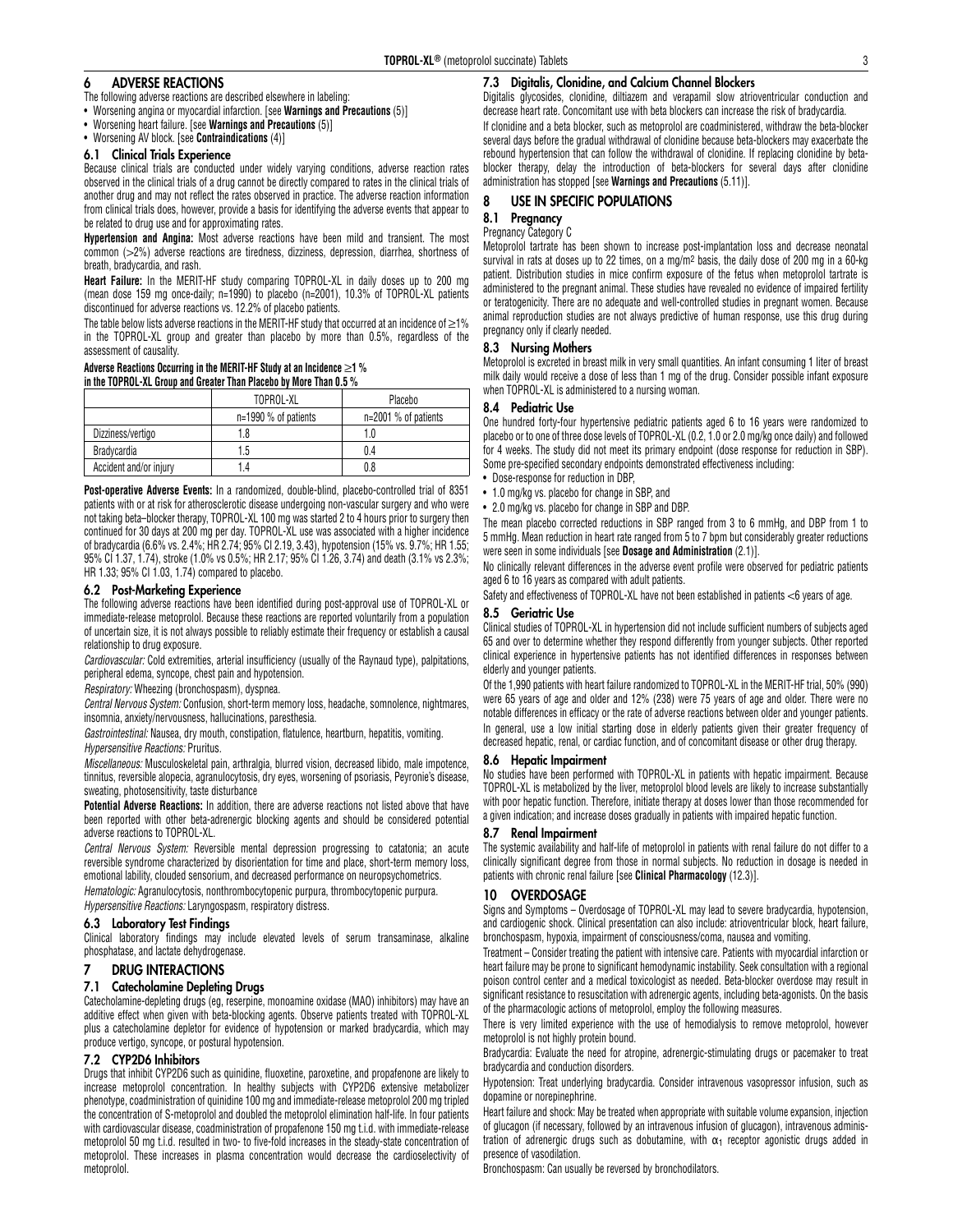# **6 ADVERSE REACTIONS**

- The following adverse reactions are described elsewhere in labeling:
- Worsening angina or myocardial infarction. [see **Warnings and Precautions** (5)]
- Worsening heart failure. [see **Warnings and Precautions** (5)]
- Worsening AV block. [see **Contraindications** (4)]

# **6.1 Clinical Trials Experience**

Because clinical trials are conducted under widely varying conditions, adverse reaction rates observed in the clinical trials of a drug cannot be directly compared to rates in the clinical trials of another drug and may not reflect the rates observed in practice. The adverse reaction information from clinical trials does, however, provide a basis for identifying the adverse events that appear to be related to drug use and for approximating rates.

**Hypertension and Angina:** Most adverse reactions have been mild and transient. The most common (>2%) adverse reactions are tiredness, dizziness, depression, diarrhea, shortness of breath, bradycardia, and rash.

**Heart Failure:** In the MERIT-HF study comparing TOPROL-XL in daily doses up to 200 mg (mean dose 159 mg once-daily; n=1990) to placebo (n=2001), 10.3% of TOPROL-XL patients discontinued for adverse reactions vs. 12.2% of placebo patients.

The table below lists adverse reactions in the MERIT-HF study that occurred at an incidence of  $\geq$ 1% in the TOPROL-XL group and greater than placebo by more than 0.5%, regardless of the assessment of causality.

#### **Adverse Reactions Occurring in the MERIT-HF Study at an Incidence** ≥**<sup>1</sup> % in the TOPROL-XL Group and Greater Than Placebo by More Than 0.5 %**

|                        | TOPROL-XL              | Placebo              |  |
|------------------------|------------------------|----------------------|--|
|                        | $n=1990$ % of patients | n=2001 % of patients |  |
| Dizziness/vertigo      | 1.8                    | 1.0                  |  |
| Bradycardia            | 1.5                    | 0.4                  |  |
| Accident and/or injury | 1.4                    | 0.8                  |  |

**Post-operative Adverse Events:** In a randomized, double-blind, placebo-controlled trial of 8351 patients with or at risk for atherosclerotic disease undergoing non-vascular surgery and who were not taking beta–blocker therapy, TOPROL-XL 100 mg was started 2 to 4 hours prior to surgery then continued for 30 days at 200 mg per day. TOPROL-XL use was associated with a higher incidence of bradycardia (6.6% vs. 2.4%; HR 2.74; 95% CI 2.19, 3.43), hypotension (15% vs. 9.7%; HR 1.55; 95% CI 1.37, 1.74), stroke (1.0% vs 0.5%; HR 2.17; 95% CI 1.26, 3.74) and death (3.1% vs 2.3%; HR 1.33; 95% CI 1.03, 1.74) compared to placebo.

# **6.2 Post-Marketing Experience**

The following adverse reactions have been identified during post-approval use of TOPROL-XL or immediate-release metoprolol. Because these reactions are reported voluntarily from a population of uncertain size, it is not always possible to reliably estimate their frequency or establish a causal relationship to drug exposure.

*Cardiovascular:* Cold extremities, arterial insufficiency (usually of the Raynaud type), palpitations, peripheral edema, syncope, chest pain and hypotension.

*Respiratory:* Wheezing (bronchospasm), dyspnea.

*Central Nervous System:* Confusion, short-term memory loss, headache, somnolence, nightmares, insomnia, anxiety/nervousness, hallucinations, paresthesia.

*Gastrointestinal:* Nausea, dry mouth, constipation, flatulence, heartburn, hepatitis, vomiting. *Hypersensitive Reactions:* Pruritus.

*Miscellaneous:* Musculoskeletal pain, arthralgia, blurred vision, decreased libido, male impotence, tinnitus, reversible alopecia, agranulocytosis, dry eyes, worsening of psoriasis, Peyronie's disease, sweating, photosensitivity, taste disturbance

**Potential Adverse Reactions:** In addition, there are adverse reactions not listed above that have been reported with other beta-adrenergic blocking agents and should be considered potential adverse reactions to TOPROL-XL.

*Central Nervous System:* Reversible mental depression progressing to catatonia; an acute reversible syndrome characterized by disorientation for time and place, short-term memory loss, emotional lability, clouded sensorium, and decreased performance on neuropsychometrics.

*Hematologic:* Agranulocytosis, nonthrombocytopenic purpura, thrombocytopenic purpura.

*Hypersensitive Reactions:* Laryngospasm, respiratory distress.

## **6.3 Laboratory Test Findings**

Clinical laboratory findings may include elevated levels of serum transaminase, alkaline phosphatase, and lactate dehydrogenase.

# **7 DRUG INTERACTIONS**

# **7.1 Catecholamine Depleting Drugs**

Catecholamine-depleting drugs (eg, reserpine, monoamine oxidase (MAO) inhibitors) may have an additive effect when given with beta-blocking agents. Observe patients treated with TOPROL-XL plus a catecholamine depletor for evidence of hypotension or marked bradycardia, which may produce vertigo, syncope, or postural hypotension.

# **7.2 CYP2D6 Inhibitors**

Drugs that inhibit CYP2D6 such as quinidine, fluoxetine, paroxetine, and propafenone are likely to increase metoprolol concentration. In healthy subjects with CYP2D6 extensive metabolizer phenotype, coadministration of quinidine 100 mg and immediate-release metoprolol 200 mg tripled the concentration of S-metoprolol and doubled the metoprolol elimination half-life. In four patients with cardiovascular disease, coadministration of propafenone 150 mg t.i.d. with immediate-release metoprolol 50 mg t.i.d. resulted in two- to five-fold increases in the steady-state concentration of metoprolol. These increases in plasma concentration would decrease the cardioselectivity of metoprolol.

## **7.3 Digitalis, Clonidine, and Calcium Channel Blockers**

Digitalis glycosides, clonidine, diltiazem and verapamil slow atrioventricular conduction and decrease heart rate. Concomitant use with beta blockers can increase the risk of bradycardia.

If clonidine and a beta blocker, such as metoprolol are coadministered, withdraw the beta-blocker several days before the gradual withdrawal of clonidine because beta-blockers may exacerbate the rebound hypertension that can follow the withdrawal of clonidine. If replacing clonidine by betablocker therapy, delay the introduction of beta-blockers for several days after clonidine administration has stopped [see **Warnings and Precautions** (5.11)].

# **8 USE IN SPECIFIC POPULATIONS**

# **8.1 Pregnancy**

# Pregnancy Category C

Metoprolol tartrate has been shown to increase post-implantation loss and decrease neonatal survival in rats at doses up to 22 times, on a mg/m2 basis, the daily dose of 200 mg in a 60-kg patient. Distribution studies in mice confirm exposure of the fetus when metoprolol tartrate is administered to the pregnant animal. These studies have revealed no evidence of impaired fertility or teratogenicity. There are no adequate and well-controlled studies in pregnant women. Because animal reproduction studies are not always predictive of human response, use this drug during pregnancy only if clearly needed.

# **8.3 Nursing Mothers**

Metoprolol is excreted in breast milk in very small quantities. An infant consuming 1 liter of breast milk daily would receive a dose of less than 1 mg of the drug. Consider possible infant exposure when TOPROL-XL is administered to a nursing woman.

# **8.4 Pediatric Use**

One hundred forty-four hypertensive pediatric patients aged 6 to 16 years were randomized to placebo or to one of three dose levels of TOPROL-XL (0.2, 1.0 or 2.0 mg/kg once daily) and followed for 4 weeks. The study did not meet its primary endpoint (dose response for reduction in SBP). Some pre-specified secondary endpoints demonstrated effectiveness including:

- Dose-response for reduction in DBP,
- 1.0 mg/kg vs. placebo for change in SBP, and
- 2.0 mg/kg vs. placebo for change in SBP and DBP.

The mean placebo corrected reductions in SBP ranged from 3 to 6 mmHg, and DBP from 1 to 5 mmHg. Mean reduction in heart rate ranged from 5 to 7 bpm but considerably greater reductions were seen in some individuals [see **Dosage and Administration** (2.1)].

No clinically relevant differences in the adverse event profile were observed for pediatric patients aged 6 to 16 years as compared with adult patients.

Safety and effectiveness of TOPROL-XL have not been established in patients <6 years of age.

### **8.5 Geriatric Use**

Clinical studies of TOPROL-XL in hypertension did not include sufficient numbers of subjects aged 65 and over to determine whether they respond differently from younger subjects. Other reported clinical experience in hypertensive patients has not identified differences in responses between elderly and younger patients.

Of the 1,990 patients with heart failure randomized to TOPROL-XL in the MERIT-HF trial, 50% (990) were 65 years of age and older and 12% (238) were 75 years of age and older. There were no notable differences in efficacy or the rate of adverse reactions between older and younger patients. In general, use a low initial starting dose in elderly patients given their greater frequency of decreased hepatic, renal, or cardiac function, and of concomitant disease or other drug therapy.

#### **8.6 Hepatic Impairment**

No studies have been performed with TOPROL-XL in patients with hepatic impairment. Because TOPROL-XL is metabolized by the liver, metoprolol blood levels are likely to increase substantially with poor hepatic function. Therefore, initiate therapy at doses lower than those recommended for a given indication; and increase doses gradually in patients with impaired hepatic function.

#### **8.7 Renal Impairment**

The systemic availability and half-life of metoprolol in patients with renal failure do not differ to a clinically significant degree from those in normal subjects. No reduction in dosage is needed in patients with chronic renal failure [see **Clinical Pharmacology** (12.3)].

#### **10 OVERDOSAGE**

Signs and Symptoms – Overdosage of TOPROL-XL may lead to severe bradycardia, hypotension, and cardiogenic shock. Clinical presentation can also include: atrioventricular block, heart failure, bronchospasm, hypoxia, impairment of consciousness/coma, nausea and vomiting.

Treatment – Consider treating the patient with intensive care. Patients with myocardial infarction or heart failure may be prone to significant hemodynamic instability. Seek consultation with a regional poison control center and a medical toxicologist as needed. Beta-blocker overdose may result in significant resistance to resuscitation with adrenergic agents, including beta-agonists. On the basis of the pharmacologic actions of metoprolol, employ the following measures.

There is very limited experience with the use of hemodialysis to remove metoprolol, however metoprolol is not highly protein bound.

Bradycardia: Evaluate the need for atropine, adrenergic-stimulating drugs or pacemaker to treat bradycardia and conduction disorders.

Hypotension: Treat underlying bradycardia. Consider intravenous vasopressor infusion, such as dopamine or norepinephrine.

Heart failure and shock: May be treated when appropriate with suitable volume expansion, injection of glucagon (if necessary, followed by an intravenous infusion of glucagon), intravenous administration of adrenergic drugs such as dobutamine, with  $\alpha_1$  receptor agonistic drugs added in presence of vasodilation.

Bronchospasm: Can usually be reversed by bronchodilators.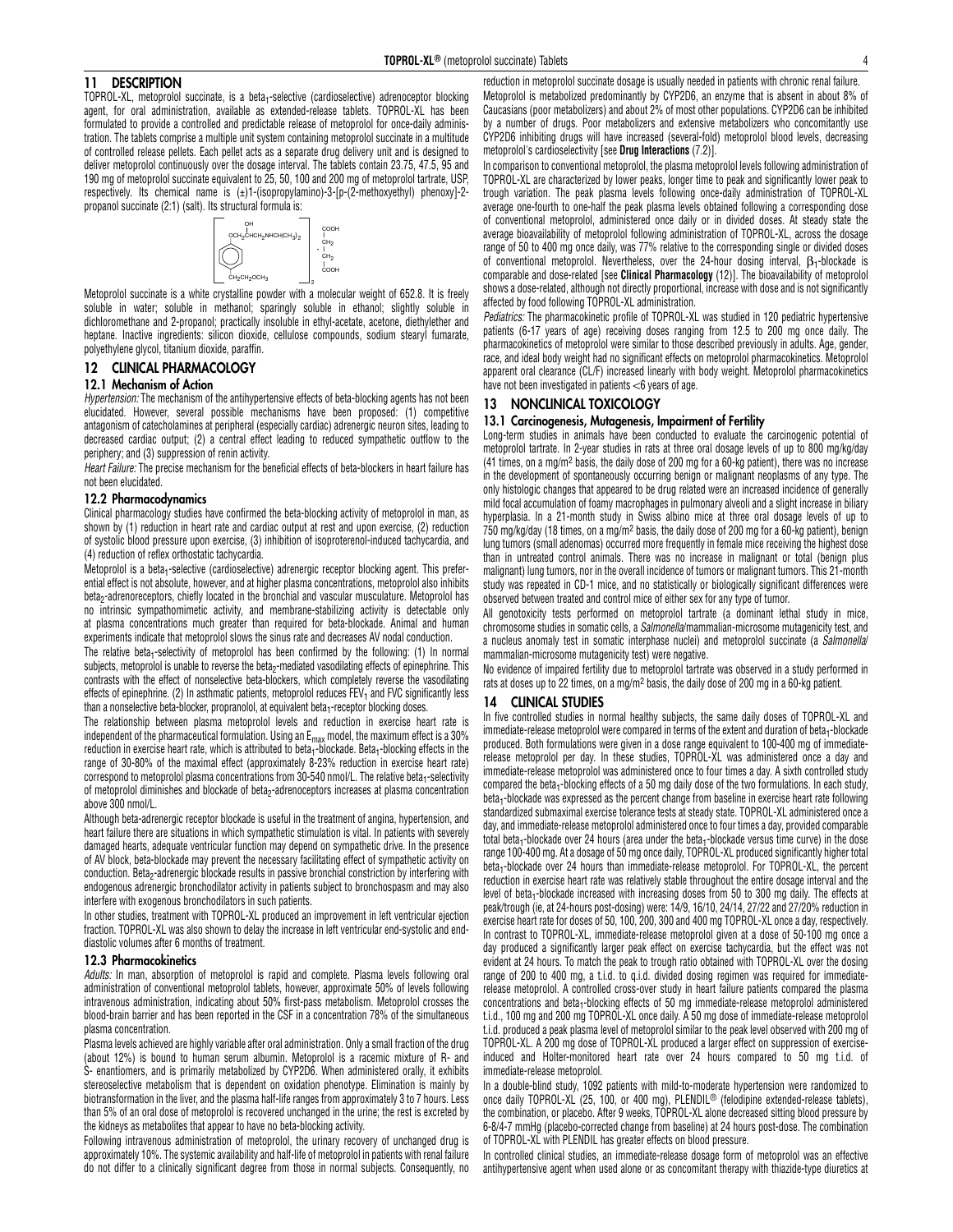# **11 DESCRIPTION**

TOPROL-XL, metoprolol succinate, is a beta<sub>1</sub>-selective (cardioselective) adrenoceptor blocking agent, for oral administration, available as extended-release tablets. TOPROL-XL has been formulated to provide a controlled and predictable release of metoprolol for once-daily administration. The tablets comprise a multiple unit system containing metoprolol succinate in a multitude of controlled release pellets. Each pellet acts as a separate drug delivery unit and is designed to deliver metoprolol continuously over the dosage interval. The tablets contain 23.75, 47.5, 95 and 190 mg of metoprolol succinate equivalent to 25, 50, 100 and 200 mg of metoprolol tartrate, USP, respectively. Its chemical name is (±)1-(isopropylamino)-3-[p-(2-methoxyethyl) phenoxy]-2 propanol succinate (2:1) (salt). Its structural formula is:



Metoprolol succinate is a white crystalline powder with a molecular weight of 652.8. It is freely soluble in water; soluble in methanol; sparingly soluble in ethanol; slightly soluble in dichloromethane and 2-propanol; practically insoluble in ethyl-acetate, acetone, diethylether and heptane. Inactive ingredients: silicon dioxide, cellulose compounds, sodium stearyl fumarate, polyethylene glycol, titanium dioxide, paraffin.

#### **12 CLINICAL PHARMACOLOGY**

#### **12.1 Mechanism of Action**

*Hypertension:* The mechanism of the antihypertensive effects of beta-blocking agents has not been elucidated. However, several possible mechanisms have been proposed: (1) competitive antagonism of catecholamines at peripheral (especially cardiac) adrenergic neuron sites, leading to decreased cardiac output; (2) a central effect leading to reduced sympathetic outflow to the periphery; and (3) suppression of renin activity.

*Heart Failure:* The precise mechanism for the beneficial effects of beta-blockers in heart failure has not been elucidated.

#### **12.2 Pharmacodynamics**

Clinical pharmacology studies have confirmed the beta-blocking activity of metoprolol in man, as shown by (1) reduction in heart rate and cardiac output at rest and upon exercise, (2) reduction of systolic blood pressure upon exercise, (3) inhibition of isoproterenol-induced tachycardia, and (4) reduction of reflex orthostatic tachycardia.

Metoprolol is a beta<sub>1</sub>-selective (cardioselective) adrenergic receptor blocking agent. This preferential effect is not absolute, however, and at higher plasma concentrations, metoprolol also inhibits  $beta_2$ -adrenoreceptors, chiefly located in the bronchial and vascular musculature. Metoprolol has no intrinsic sympathomimetic activity, and membrane-stabilizing activity is detectable only at plasma concentrations much greater than required for beta-blockade. Animal and human experiments indicate that metoprolol slows the sinus rate and decreases AV nodal conduction.

The relative beta<sub>1</sub>-selectivity of metoprolol has been confirmed by the following: (1) In normal subjects, metoprolol is unable to reverse the beta<sub>2</sub>-mediated vasodilating effects of epinephrine. This contrasts with the effect of nonselective beta-blockers, which completely reverse the vasodilating effects of epinephrine. (2) In asthmatic patients, metoprolol reduces  $FEV<sub>1</sub>$  and FVC significantly less than a nonselective beta-blocker, propranolol, at equivalent beta<sub>1</sub>-receptor blocking doses.

The relationship between plasma metoprolol levels and reduction in exercise heart rate is independent of the pharmaceutical formulation. Using an  $E_{\text{max}}$  model, the maximum effect is a 30% reduction in exercise heart rate, which is attributed to beta<sub>1</sub>-blockade. Beta<sub>1</sub>-blocking effects in the range of 30-80% of the maximal effect (approximately 8-23% reduction in exercise heart rate) correspond to metoprolol plasma concentrations from 30-540 nmol/L. The relative beta<sub>1</sub>-selectivity of metoprolol diminishes and blockade of beta<sub>2</sub>-adrenoceptors increases at plasma concentration above 300 nmol/L.

Although beta-adrenergic receptor blockade is useful in the treatment of angina, hypertension, and heart failure there are situations in which sympathetic stimulation is vital. In patients with severely damaged hearts, adequate ventricular function may depend on sympathetic drive. In the presence of AV block, beta-blockade may prevent the necessary facilitating effect of sympathetic activity on conduction. Beta<sub>2</sub>-adrenergic blockade results in passive bronchial constriction by interfering with endogenous adrenergic bronchodilator activity in patients subject to bronchospasm and may also interfere with exogenous bronchodilators in such patients.

In other studies, treatment with TOPROL-XL produced an improvement in left ventricular ejection fraction. TOPROL-XL was also shown to delay the increase in left ventricular end-systolic and enddiastolic volumes after 6 months of treatment.

#### **12.3 Pharmacokinetics**

*Adults:* In man, absorption of metoprolol is rapid and complete. Plasma levels following oral administration of conventional metoprolol tablets, however, approximate 50% of levels following intravenous administration, indicating about 50% first-pass metabolism. Metoprolol crosses the blood-brain barrier and has been reported in the CSF in a concentration 78% of the simultaneous plasma concentration.

Plasma levels achieved are highly variable after oral administration. Only a small fraction of the drug (about 12%) is bound to human serum albumin. Metoprolol is a racemic mixture of R- and S- enantiomers, and is primarily metabolized by CYP2D6. When administered orally, it exhibits stereoselective metabolism that is dependent on oxidation phenotype. Elimination is mainly by biotransformation in the liver, and the plasma half-life ranges from approximately 3 to 7 hours. Less than 5% of an oral dose of metoprolol is recovered unchanged in the urine; the rest is excreted by the kidneys as metabolites that appear to have no beta-blocking activity.

Following intravenous administration of metoprolol, the urinary recovery of unchanged drug is approximately 10%. The systemic availability and half-life of metoprolol in patients with renal failure do not differ to a clinically significant degree from those in normal subjects. Consequently, no

reduction in metoprolol succinate dosage is usually needed in patients with chronic renal failure. Metoprolol is metabolized predominantly by CYP2D6, an enzyme that is absent in about 8% of Caucasians (poor metabolizers) and about 2% of most other populations. CYP2D6 can be inhibited by a number of drugs. Poor metabolizers and extensive metabolizers who concomitantly use CYP2D6 inhibiting drugs will have increased (several-fold) metoprolol blood levels, decreasing metoprolol's cardioselectivity [see **Drug Interactions** (7.2)].

In comparison to conventional metoprolol, the plasma metoprolol levels following administration of TOPROL-XL are characterized by lower peaks, longer time to peak and significantly lower peak to trough variation. The peak plasma levels following once-daily administration of TOPROL-XL average one-fourth to one-half the peak plasma levels obtained following a corresponding dose of conventional metoprolol, administered once daily or in divided doses. At steady state the average bioavailability of metoprolol following administration of TOPROL-XL, across the dosage range of 50 to 400 mg once daily, was 77% relative to the corresponding single or divided doses of conventional metoprolol. Nevertheless, over the 24-hour dosing interval,  $\beta_1$ -blockade is comparable and dose-related [see **Clinical Pharmacology** (12)]. The bioavailability of metoprolol shows a dose-related, although not directly proportional, increase with dose and is not significantly affected by food following TOPROL-XL administration.

*Pediatrics:* The pharmacokinetic profile of TOPROL-XL was studied in 120 pediatric hypertensive patients (6-17 years of age) receiving doses ranging from 12.5 to 200 mg once daily. The pharmacokinetics of metoprolol were similar to those described previously in adults. Age, gender, race, and ideal body weight had no significant effects on metoprolol pharmacokinetics. Metoprolol apparent oral clearance (CL/F) increased linearly with body weight. Metoprolol pharmacokinetics have not been investigated in patients <6 years of age.

#### **13 NONCLINICAL TOXICOLOGY**

#### **13.1 Carcinogenesis, Mutagenesis, Impairment of Fertility**

Long-term studies in animals have been conducted to evaluate the carcinogenic potential of metoprolol tartrate. In 2-year studies in rats at three oral dosage levels of up to 800 mg/kg/day (41 times, on a mg/m2 basis, the daily dose of 200 mg for a 60-kg patient), there was no increase in the development of spontaneously occurring benign or malignant neoplasms of any type. The only histologic changes that appeared to be drug related were an increased incidence of generally mild focal accumulation of foamy macrophages in pulmonary alveoli and a slight increase in biliary hyperplasia. In a 21-month study in Swiss albino mice at three oral dosage levels of up to 750 mg/kg/day (18 times, on a mg/m2 basis, the daily dose of 200 mg for a 60-kg patient), benign lung tumors (small adenomas) occurred more frequently in female mice receiving the highest dose than in untreated control animals. There was no increase in malignant or total (benign plus malignant) lung tumors, nor in the overall incidence of tumors or malignant tumors. This 21-month study was repeated in CD-1 mice, and no statistically or biologically significant differences were observed between treated and control mice of either sex for any type of tumor.

All genotoxicity tests performed on metoprolol tartrate (a dominant lethal study in mice, chromosome studies in somatic cells, a *Salmonella*/mammalian-microsome mutagenicity test, and a nucleus anomaly test in somatic interphase nuclei) and metoprolol succinate (a *Salmonella*/ mammalian-microsome mutagenicity test) were negative.

No evidence of impaired fertility due to metoprolol tartrate was observed in a study performed in rats at doses up to 22 times, on a mg/m2 basis, the daily dose of 200 mg in a 60-kg patient.

#### **14 CLINICAL STUDIES**

In five controlled studies in normal healthy subjects, the same daily doses of TOPROL-XL and immediate-release metoprolol were compared in terms of the extent and duration of beta<sub>1</sub>-blockade produced. Both formulations were given in a dose range equivalent to 100-400 mg of immediaterelease metoprolol per day. In these studies, TOPROL-XL was administered once a day and immediate-release metoprolol was administered once to four times a day. A sixth controlled study compared the beta<sub>1</sub>-blocking effects of a 50 mg daily dose of the two formulations. In each study,  $beta_{1}$ -blockade was expressed as the percent change from baseline in exercise heart rate following standardized submaximal exercise tolerance tests at steady state. TOPROL-XL administered once a day, and immediate-release metoprolol administered once to four times a day, provided comparable total beta<sub>1</sub>-blockade over 24 hours (area under the beta<sub>1</sub>-blockade versus time curve) in the dose range 100-400 mg. At a dosage of 50 mg once daily, TOPROL-XL produced significantly higher total  $beta<sub>1</sub>$ -blockade over 24 hours than immediate-release metoprolol. For TOPROL-XL, the percent reduction in exercise heart rate was relatively stable throughout the entire dosage interval and the level of beta<sub>1</sub>-blockade increased with increasing doses from 50 to 300 mg daily. The effects at peak/trough (ie, at 24-hours post-dosing) were: 14/9, 16/10, 24/14, 27/22 and 27/20% reduction in exercise heart rate for doses of 50, 100, 200, 300 and 400 mg TOPROL-XL once a day, respectively. In contrast to TOPROL-XL, immediate-release metoprolol given at a dose of 50-100 mg once a day produced a significantly larger peak effect on exercise tachycardia, but the effect was not evident at 24 hours. To match the peak to trough ratio obtained with TOPROL-XL over the dosing range of 200 to 400 mg, a t.i.d. to q.i.d. divided dosing regimen was required for immediaterelease metoprolol. A controlled cross-over study in heart failure patients compared the plasma concentrations and beta<sub>1</sub>-blocking effects of 50 mg immediate-release metoprolol administered t.i.d., 100 mg and 200 mg TOPROL-XL once daily. A 50 mg dose of immediate-release metoprolol t.i.d. produced a peak plasma level of metoprolol similar to the peak level observed with 200 mg of TOPROL-XL. A 200 mg dose of TOPROL-XL produced a larger effect on suppression of exerciseinduced and Holter-monitored heart rate over 24 hours compared to 50 mg t.i.d. of immediate-release metoprolol.

In a double-blind study, 1092 patients with mild-to-moderate hypertension were randomized to once daily TOPROL-XL (25, 100, or 400 mg), PLENDIL® (felodipine extended-release tablets), the combination, or placebo. After 9 weeks, TOPROL-XL alone decreased sitting blood pressure by 6-8/4-7 mmHg (placebo-corrected change from baseline) at 24 hours post-dose. The combination of TOPROL-XL with PLENDIL has greater effects on blood pressure.

In controlled clinical studies, an immediate-release dosage form of metoprolol was an effective antihypertensive agent when used alone or as concomitant therapy with thiazide-type diuretics at